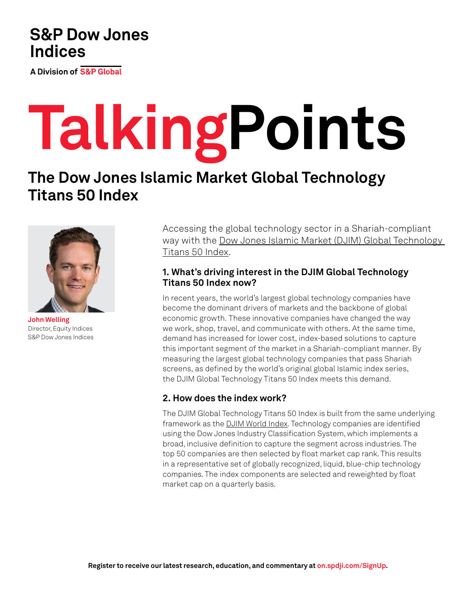# **S&P Dow Jones Indices**

**A Division of S&P Global** 

# **TalkingPoints**

# **The Dow Jones Islamic Market Global Technology Titans 50 Index**



**John Welling** Director, Equity Indices S&P Dow Jones Indices

Accessing the global technology sector in a Shariah-compliant way with the [Dow Jones Islamic Market \(DJIM\) Global Technology](https://www.spglobal.com/spdji/en/indices/equity/dow-jones-islamic-market-global-technology-titans-50-index?utm_source=pdf_education)  [Titans 50 Index.](https://www.spglobal.com/spdji/en/indices/equity/dow-jones-islamic-market-global-technology-titans-50-index?utm_source=pdf_education)

## **1. What's driving interest in the DJIM Global Technology Titans 50 Index now?**

In recent years, the world's largest global technology companies have become the dominant drivers of markets and the backbone of global economic growth. These innovative companies have changed the way we work, shop, travel, and communicate with others. At the same time, demand has increased for lower cost, index-based solutions to capture this important segment of the market in a Shariah-compliant manner. By measuring the largest global technology companies that pass Shariah screens, as defined by the world's original global Islamic index series, the DJIM Global Technology Titans 50 Index meets this demand.

## **2. How does the index work?**

The DJIM Global Technology Titans 50 Index is built from the same underlying framework as the [DJIM World Index](https://www.spglobal.com/spdji/en/indices/equity/dow-jones-islamic-market-world-index?utm_source=pdf_education). Technology companies are identified using the Dow Jones Industry Classification System, which implements a broad, inclusive definition to capture the segment across industries. The top 50 companies are then selected by float market cap rank. This results in a representative set of globally recognized, liquid, blue-chip technology companies. The index components are selected and reweighted by float market cap on a quarterly basis.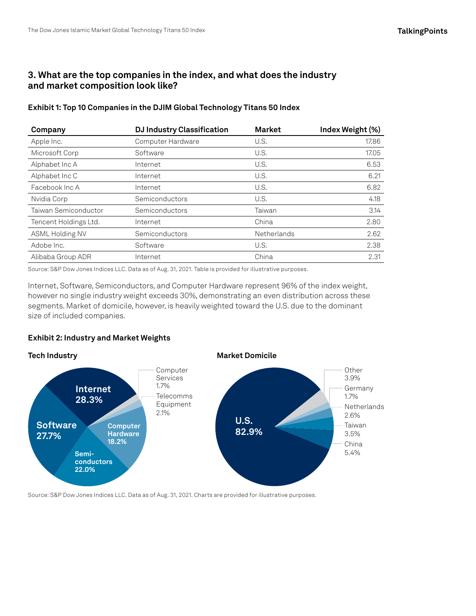### **3. What are the top companies in the index, and what does the industry and market composition look like?**

| Company               | <b>DJ Industry Classification</b> | <b>Market</b> | Index Weight (%) |
|-----------------------|-----------------------------------|---------------|------------------|
| Apple Inc.            | Computer Hardware                 | U.S.          | 17.86            |
| Microsoft Corp        | Software                          | U.S.          | 17.05            |
| Alphabet Inc A        | Internet                          | U.S.          | 6.53             |
| Alphabet Inc C        | Internet                          | U.S.          | 6.21             |
| Facebook Inc A        | Internet                          | U.S.          | 6.82             |
| Nvidia Corp           | Semiconductors                    | U.S.          | 4.18             |
| Taiwan Semiconductor  | Semiconductors                    | Taiwan        | 3.14             |
| Tencent Holdings Ltd. | Internet                          | China         | 2.80             |
| ASML Holding NV       | Semiconductors                    | Netherlands   | 2.62             |
| Adobe Inc.            | Software                          | U.S.          | 2.38             |
| Alibaba Group ADR     | Internet                          | China         | 2.31             |

**Exhibit 1: Top 10 Companies in the DJIM Global Technology Titans 50 Index**

Source: S&P Dow Jones Indices LLC. Data as of Aug. 31, 2021. Table is provided for illustrative purposes.

Internet, Software, Semiconductors, and Computer Hardware represent 96% of the index weight, however no single industry weight exceeds 30%, demonstrating an even distribution across these segments. Market of domicile, however, is heavily weighted toward the U.S. due to the dominant size of included companies.

#### **Exhibit 2: Industry and Market Weights**



Source: S&P Dow Jones Indices LLC. Data as of Aug. 31, 2021. Charts are provided for illustrative purposes.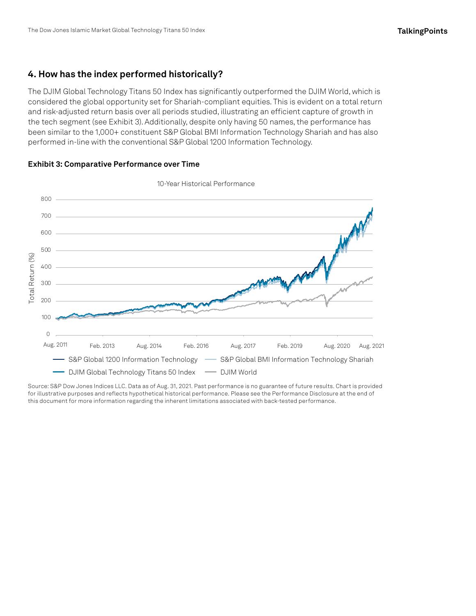#### **4. How has the index performed historically?**

The DJIM Global Technology Titans 50 Index has significantly outperformed the DJIM World, which is considered the global opportunity set for Shariah-compliant equities. This is evident on a total return and risk-adjusted return basis over all periods studied, illustrating an efficient capture of growth in the tech segment (see Exhibit 3). Additionally, despite only having 50 names, the performance has been similar to the 1,000+ constituent S&P Global BMI Information Technology Shariah and has also performed in-line with the conventional S&P Global 1200 Information Technology.



#### **Exhibit 3: Comparative Performance over Time**

Source: S&P Dow Jones Indices LLC. Data as of Aug. 31, 2021. Past performance is no guarantee of future results. Chart is provided for illustrative purposes and reflects hypothetical historical performance. Please see the Performance Disclosure at the end of this document for more information regarding the inherent limitations associated with back-tested performance.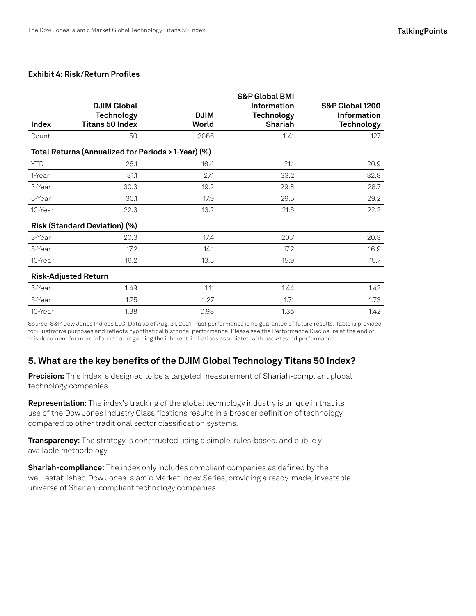#### **Exhibit 4: Risk/Return Profiles**

|                                                     | <b>DJIM Global</b>                          |                      | <b>S&amp;P Global BMI</b><br><b>Information</b> | S&P Global 1200                  |  |  |
|-----------------------------------------------------|---------------------------------------------|----------------------|-------------------------------------------------|----------------------------------|--|--|
| Index                                               | <b>Technology</b><br><b>Titans 50 Index</b> | <b>DJIM</b><br>World | <b>Technology</b><br><b>Shariah</b>             | Information<br><b>Technology</b> |  |  |
| Count                                               | 50                                          | 3066                 | 1141                                            | 127                              |  |  |
| Total Returns (Annualized for Periods > 1-Year) (%) |                                             |                      |                                                 |                                  |  |  |
| <b>YTD</b>                                          | 26.1                                        | 16.4                 | 21.1                                            | 20.9                             |  |  |
| 1-Year                                              | 31.1                                        | 27.1                 | 33.2                                            | 32.8                             |  |  |
| 3-Year                                              | 30.3                                        | 19.2                 | 29.8                                            | 28.7                             |  |  |
| 5-Year                                              | 30.1                                        | 17.9                 | 29.5                                            | 29.2                             |  |  |
| 10-Year                                             | 22.3                                        | 13.2                 | 21.6                                            | 22.2                             |  |  |
| Risk (Standard Deviation) (%)                       |                                             |                      |                                                 |                                  |  |  |
| 3-Year                                              | 20.3                                        | 17.4                 | 20.7                                            | 20.3                             |  |  |
| 5-Year                                              | 17.2                                        | 14.1                 | 17.2                                            | 16.9                             |  |  |
| 10-Year                                             | 16.2                                        | 13.5                 | 15.9                                            | 15.7                             |  |  |
| <b>Risk-Adjusted Return</b>                         |                                             |                      |                                                 |                                  |  |  |
| 3-Year                                              | 1.49                                        | 1.11                 | 1.44                                            | 1.42                             |  |  |
| 5-Year                                              | 1.75                                        | 1.27                 | 1.71                                            | 1.73                             |  |  |
| 10-Year                                             | 1.38                                        | 0.98                 | 1.36                                            | 1.42                             |  |  |

Source: S&P Dow Jones Indices LLC. Data as of Aug. 31, 2021. Past performance is no guarantee of future results. Table is provided for illustrative purposes and reflects hypothetical historical performance. Please see the Performance Disclosure at the end of this document for more information regarding the inherent limitations associated with back-tested performance.

#### **5. What are the key benefits of the DJIM Global Technology Titans 50 Index?**

**Precision[:](https://www.spglobal.com/spdji/en/indices/equity/sp-china-tech-50-index/?utm_source=pdf_education)** This index is designed to be a targeted measurement of Shariah-compliant global technology companies.

**Representation[:](https://www.spglobal.com/spdji/en/indices/equity/sp-china-tech-50-hk-connect-index/#overview?utm_source=pdf_education)** The index's tracking of the global technology industry is unique in that its use of the Dow Jones Industry Classifications results in a broader definition of technology compared to other traditional sector classification systems.

**Transparency:** The strategy is constructed using a simple, rules-based, and publicly available methodology.

**Shariah-complianc[e:](https://www.spglobal.com/spdji/en/indices/equity/sp-china-tech-50-domestic-index/#overview?utm_source=pdf_education)** The index only includes compliant companies as defined by the well-established Dow Jones Islamic Market Index Series, providing a ready-made, investable universe of Shariah-compliant technology companies.